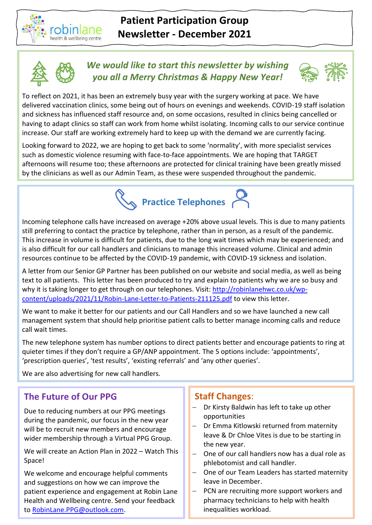



## *We would like to start this newsletter by wishing you all a Merry Christmas & Happy New Year!*



To reflect on 2021, it has been an extremely busy year with the surgery working at pace. We have delivered vaccination clinics, some being out of hours on evenings and weekends. COVID-19 staff isolation and sickness has influenced staff resource and, on some occasions, resulted in clinics being cancelled or having to adapt clinics so staff can work from home whilst isolating. Incoming calls to our service continue increase. Our staff are working extremely hard to keep up with the demand we are currently facing.

Looking forward to 2022, we are hoping to get back to some 'normality', with more specialist services such as domestic violence resuming with face-to-face appointments. We are hoping that TARGET afternoons will resume too; these afternoons are protected for clinical training have been greatly missed by the clinicians as well as our Admin Team, as these were suspended throughout the pandemic.



Incoming telephone calls have increased on average +20% above usual levels. This is due to many patients still preferring to contact the practice by telephone, rather than in person, as a result of the pandemic. This increase in volume is difficult for patients, due to the long wait times which may be experienced; and is also difficult for our call handlers and clinicians to manage this increased volume. Clinical and admin resources continue to be affected by the COVID-19 pandemic, with COVID-19 sickness and isolation.

A letter from our Senior GP Partner has been published on our website and social media, as well as being text to all patients. This letter has been produced to try and explain to patients why we are so busy and why it is taking longer to get through on our telephones. Visit: [http://robinlanehwc.co.uk/wp](http://robinlanehwc.co.uk/wp-content/uploads/2021/11/Robin-Lane-Letter-to-Patients-211125.pdf)[content/uploads/2021/11/Robin-Lane-Letter-to-Patients-211125.pdf](http://robinlanehwc.co.uk/wp-content/uploads/2021/11/Robin-Lane-Letter-to-Patients-211125.pdf) to view this letter.

We want to make it better for our patients and our Call Handlers and so we have launched a new call management system that should help prioritise patient calls to better manage incoming calls and reduce call wait times.

The new telephone system has number options to direct patients better and encourage patients to ring at quieter times if they don't require a GP/ANP appointment. The 5 options include: 'appointments', 'prescription queries', 'test results', 'existing referrals' and 'any other queries'.

We are also advertising for new call handlers.

## **The Future of Our PPG**

Due to reducing numbers at our PPG meetings during the pandemic, our focus in the new year will be to recruit new members and encourage wider membership through a Virtual PPG Group.

We will create an Action Plan in 2022 – Watch This Space!

We welcome and encourage helpful comments and suggestions on how we can improve the patient experience and engagement at Robin Lane Health and Wellbeing centre. Send your feedback to [RobinLane.PPG@outlook.com.](mailto:RobinLane.PPG@outlook.com)

## **Staff Changes**:

- − Dr Kirsty Baldwin has left to take up other opportunities
- − Dr Emma Kitlowski returned from maternity leave & Dr Chloe Vites is due to be starting in the new year.
- − One of our call handlers now has a dual role as phlebotomist and call handler.
- − One of our Team Leaders has started maternity leave in December.
- − PCN are recruiting more support workers and pharmacy technicians to help with health inequalities workload.